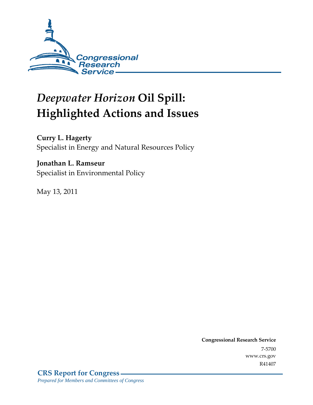

# *Deepwater Horizon* **Oil Spill: Highlighted Actions and Issues**

**Curry L. Hagerty** 

Specialist in Energy and Natural Resources Policy

### **Jonathan L. Ramseur**

Specialist in Environmental Policy

May 13, 2011

**Congressional Research Service** 7-5700 www.crs.gov R41407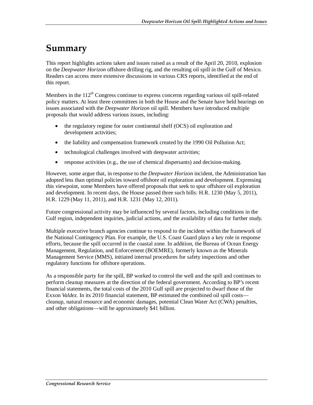## **Summary**

This report highlights actions taken and issues raised as a result of the April 20, 2010, explosion on the *Deepwater Horizon* offshore drilling rig, and the resulting oil spill in the Gulf of Mexico. Readers can access more extensive discussions in various CRS reports, identified at the end of this report.

Members in the  $112<sup>th</sup>$  Congress continue to express concerns regarding various oil spill-related policy matters. At least three committees in both the House and the Senate have held hearings on issues associated with the *Deepwater Horizon* oil spill. Members have introduced multiple proposals that would address various issues, including:

- the regulatory regime for outer continental shelf (OCS) oil exploration and development activities;
- the liability and compensation framework created by the 1990 Oil Pollution Act;
- technological challenges involved with deepwater activities;
- response activities (e.g., the use of chemical dispersants) and decision-making.

However, some argue that, in response to the *Deepwater Horizon* incident, the Administration has adopted less than optimal policies toward offshore oil exploration and development. Expressing this viewpoint, some Members have offered proposals that seek to spur offshore oil exploration and development. In recent days, the House passed three such bills: H.R. 1230 (May 5, 2011), H.R. 1229 (May 11, 2011), and H.R. 1231 (May 12, 2011).

Future congressional activity may be influenced by several factors, including conditions in the Gulf region, independent inquiries, judicial actions, and the availability of data for further study.

Multiple executive branch agencies continue to respond to the incident within the framework of the National Contingency Plan. For example, the U.S. Coast Guard plays a key role in response efforts, because the spill occurred in the coastal zone. In addition, the Bureau of Ocean Energy Management, Regulation, and Enforcement (BOEMRE), formerly known as the Minerals Management Service (MMS), initiated internal procedures for safety inspections and other regulatory functions for offshore operations.

As a responsible party for the spill, BP worked to control the well and the spill and continues to perform cleanup measures at the direction of the federal government. According to BP's recent financial statements, the total costs of the 2010 Gulf spill are projected to dwarf those of the Exxon *Valdez*. In its 2010 financial statement, BP estimated the combined oil spill costs cleanup, natural resource and economic damages, potential Clean Water Act (CWA) penalties, and other obligations—will be approximately \$41 billion.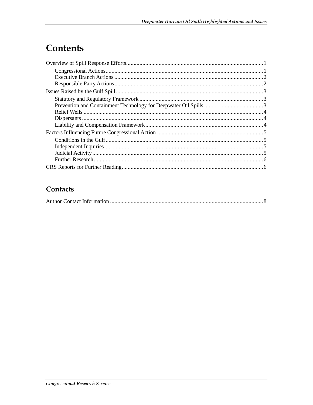## Contents

#### Contacts

|--|--|--|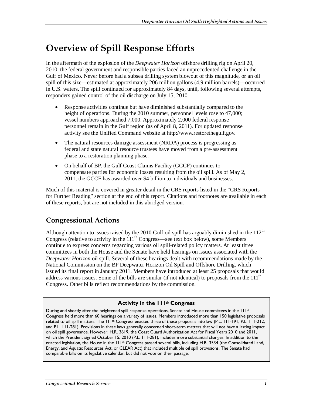### **Overview of Spill Response Efforts**

In the aftermath of the explosion of the *Deepwater Horizon* offshore drilling rig on April 20, 2010, the federal government and responsible parties faced an unprecedented challenge in the Gulf of Mexico. Never before had a subsea drilling system blowout of this magnitude, or an oil spill of this size—estimated at approximately 206 million gallons (4.9 million barrels)—occurred in U.S. waters. The spill continued for approximately 84 days, until, following several attempts, responders gained control of the oil discharge on July 15, 2010.

- Response activities continue but have diminished substantially compared to the height of operations. During the 2010 summer, personnel levels rose to 47,000; vessel numbers approached 7,000. Approximately 2,000 federal response personnel remain in the Gulf region (as of April 8, 2011). For updated response activity see the Unified Command website at http://www.restorethegulf.gov.
- The natural resources damage assessment (NRDA) process is progressing as federal and state natural resource trustees have moved from a pre-assessment phase to a restoration planning phase.
- On behalf of BP, the Gulf Coast Claims Facility (GCCF) continues to compensate parties for economic losses resulting from the oil spill. As of May 2, 2011, the GCCF has awarded over \$4 billion to individuals and businesses.

Much of this material is covered in greater detail in the CRS reports listed in the "CRS Reports for Further Reading" section at the end of this report. Citations and footnotes are available in each of these reports, but are not included in this abridged version.

#### **Congressional Actions**

Although attention to issues raised by the 2010 Gulf oil spill has arguably diminished in the  $112<sup>th</sup>$ Congress (relative to activity in the  $111<sup>th</sup>$  Congress—see text box below), some Members continue to express concerns regarding various oil spill-related policy matters. At least three committees in both the House and the Senate have held hearings on issues associated with the *Deepwater Horizon* oil spill. Several of these hearings dealt with recommendations made by the National Commission on the BP Deepwater Horizon Oil Spill and Offshore Drilling, which issued its final report in January 2011. Members have introduced at least 25 proposals that would address various issues. Some of the bills are similar (if not identical) to proposals from the  $111<sup>th</sup>$ Congress. Other bills reflect recommendations by the commission.

#### **Activity in the 111th Congress**

During and shortly after the heightened spill response operations, Senate and House committees in the 111<sup>th</sup> Congress held more than 60 hearings on a variety of issues. Members introduced more than 150 legislative proposals related to oil spill matters. The  $11\frac{th}{6}$  Congress enacted three of these proposals into law (P.L. 111-191, P.L. 111-212, and P.L. 111-281). Provisions in these laws generally concerned short-term matters that will not have a lasting impact on oil spill governance. However, H.R. 3619, the Coast Guard Authorization Act for Fiscal Years 2010 and 2011, which the President signed October 15, 2010 (P.L. 111-281), includes more substantial changes. In addition to the enacted legislation, the House in the  $111th$  Congress passed several bills, including H.R. 3534 (the Consolidated Land, Energy, and Aquatic Resources Act, or CLEAR Act) that included multiple oil spill provisions. The Senate had comparable bills on its legislative calendar, but did not vote on their passage.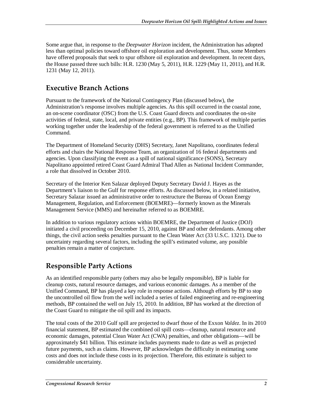Some argue that, in response to the *Deepwater Horizon* incident, the Administration has adopted less than optimal policies toward offshore oil exploration and development. Thus, some Members have offered proposals that seek to spur offshore oil exploration and development. In recent days, the House passed three such bills: H.R. 1230 (May 5, 2011), H.R. 1229 (May 11, 2011), and H.R. 1231 (May 12, 2011).

#### **Executive Branch Actions**

Pursuant to the framework of the National Contingency Plan (discussed below), the Administration's response involves multiple agencies. As this spill occurred in the coastal zone, an on-scene coordinator (OSC) from the U.S. Coast Guard directs and coordinates the on-site activities of federal, state, local, and private entities (e.g., BP). This framework of multiple parties working together under the leadership of the federal government is referred to as the Unified Command.

The Department of Homeland Security (DHS) Secretary, Janet Napolitano, coordinates federal efforts and chairs the National Response Team, an organization of 16 federal departments and agencies. Upon classifying the event as a spill of national significance (SONS), Secretary Napolitano appointed retired Coast Guard Admiral Thad Allen as National Incident Commander, a role that dissolved in October 2010.

Secretary of the Interior Ken Salazar deployed Deputy Secretary David J. Hayes as the Department's liaison to the Gulf for response efforts. As discussed below, in a related initiative, Secretary Salazar issued an administrative order to restructure the Bureau of Ocean Energy Management, Regulation, and Enforcement (BOEMRE)—formerly known as the Minerals Management Service (MMS) and hereinafter referred to as BOEMRE.

In addition to various regulatory actions within BOEMRE, the Department of Justice (DOJ) initiated a civil proceeding on December 15, 2010, against BP and other defendants. Among other things, the civil action seeks penalties pursuant to the Clean Water Act (33 U.S.C. 1321). Due to uncertainty regarding several factors, including the spill's estimated volume, any possible penalties remain a matter of conjecture.

#### **Responsible Party Actions**

As an identified responsible party (others may also be legally responsible), BP is liable for cleanup costs, natural resource damages, and various economic damages. As a member of the Unified Command, BP has played a key role in response actions. Although efforts by BP to stop the uncontrolled oil flow from the well included a series of failed engineering and re-engineering methods, BP contained the well on July 15, 2010. In addition, BP has worked at the direction of the Coast Guard to mitigate the oil spill and its impacts.

The total costs of the 2010 Gulf spill are projected to dwarf those of the Exxon *Valdez*. In its 2010 financial statement, BP estimated the combined oil spill costs—cleanup, natural resource and economic damages, potential Clean Water Act (CWA) penalties, and other obligations—will be approximately \$41 billion. This estimate includes payments made to date as well as projected future payments, such as claims. However, BP acknowledges the difficulty in estimating some costs and does not include these costs in its projection. Therefore, this estimate is subject to considerable uncertainty.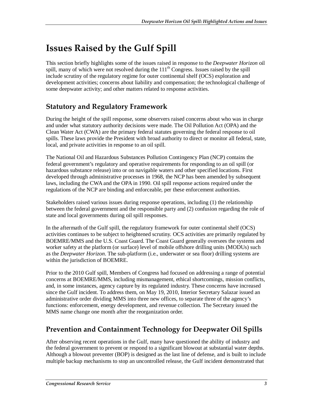## **Issues Raised by the Gulf Spill**

This section briefly highlights some of the issues raised in response to the *Deepwater Horizon* oil spill, many of which were not resolved during the  $111<sup>th</sup>$  Congress. Issues raised by the spill include scrutiny of the regulatory regime for outer continental shelf (OCS) exploration and development activities; concerns about liability and compensation; the technological challenge of some deepwater activity; and other matters related to response activities.

#### **Statutory and Regulatory Framework**

During the height of the spill response, some observers raised concerns about who was in charge and under what statutory authority decisions were made. The Oil Pollution Act (OPA) and the Clean Water Act (CWA) are the primary federal statutes governing the federal response to oil spills. These laws provide the President with broad authority to direct or monitor all federal, state, local, and private activities in response to an oil spill.

The National Oil and Hazardous Substances Pollution Contingency Plan (NCP) contains the federal government's regulatory and operative requirements for responding to an oil spill (or hazardous substance release) into or on navigable waters and other specified locations. First developed through administrative processes in 1968, the NCP has been amended by subsequent laws, including the CWA and the OPA in 1990. Oil spill response actions required under the regulations of the NCP are binding and enforceable, per these enforcement authorities.

Stakeholders raised various issues during response operations, including (1) the relationship between the federal government and the responsible party and (2) confusion regarding the role of state and local governments during oil spill responses.

In the aftermath of the Gulf spill, the regulatory framework for outer continental shelf (OCS) activities continues to be subject to heightened scrutiny. OCS activities are primarily regulated by BOEMRE/MMS and the U.S. Coast Guard. The Coast Guard generally oversees the systems and worker safety at the platform (or surface) level of mobile offshore drilling units (MODUs) such as the *Deepwater Horizon*. The sub-platform (i.e., underwater or sea floor) drilling systems are within the jurisdiction of BOEMRE.

Prior to the 2010 Gulf spill, Members of Congress had focused on addressing a range of potential concerns at BOEMRE/MMS, including mismanagement, ethical shortcomings, mission conflicts, and, in some instances, agency capture by its regulated industry. These concerns have increased since the Gulf incident. To address them, on May 19, 2010, Interior Secretary Salazar issued an administrative order dividing MMS into three new offices, to separate three of the agency's functions: enforcement, energy development, and revenue collection. The Secretary issued the MMS name change one month after the reorganization order.

#### **Prevention and Containment Technology for Deepwater Oil Spills**

After observing recent operations in the Gulf, many have questioned the ability of industry and the federal government to prevent or respond to a significant blowout at substantial water depths. Although a blowout preventer (BOP) is designed as the last line of defense, and is built to include multiple backup mechanisms to stop an uncontrolled release, the Gulf incident demonstrated that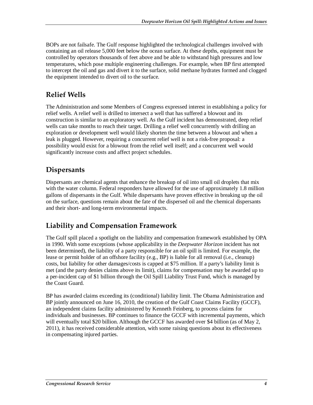BOPs are not failsafe. The Gulf response highlighted the technological challenges involved with containing an oil release 5,000 feet below the ocean surface. At these depths, equipment must be controlled by operators thousands of feet above and be able to withstand high pressures and low temperatures, which pose multiple engineering challenges. For example, when BP first attempted to intercept the oil and gas and divert it to the surface, solid methane hydrates formed and clogged the equipment intended to divert oil to the surface.

#### **Relief Wells**

The Administration and some Members of Congress expressed interest in establishing a policy for relief wells. A relief well is drilled to intersect a well that has suffered a blowout and its construction is similar to an exploratory well. As the Gulf incident has demonstrated, deep relief wells can take months to reach their target. Drilling a relief well concurrently with drilling an exploration or development well would likely shorten the time between a blowout and when a leak is plugged. However, requiring a concurrent relief well is not a risk-free proposal: a possibility would exist for a blowout from the relief well itself; and a concurrent well would significantly increase costs and affect project schedules.

#### **Dispersants**

Dispersants are chemical agents that enhance the breakup of oil into small oil droplets that mix with the water column. Federal responders have allowed for the use of approximately 1.8 million gallons of dispersants in the Gulf. While dispersants have proven effective in breaking up the oil on the surface, questions remain about the fate of the dispersed oil and the chemical dispersants and their short- and long-term environmental impacts.

#### **Liability and Compensation Framework**

The Gulf spill placed a spotlight on the liability and compensation framework established by OPA in 1990. With some exceptions (whose applicability in the *Deepwater Horizon* incident has not been determined), the liability of a party responsible for an oil spill is limited. For example, the lease or permit holder of an offshore facility (e.g., BP) is liable for all removal (i.e., cleanup) costs, but liability for other damages/costs is capped at \$75 million. If a party's liability limit is met (and the party denies claims above its limit), claims for compensation may be awarded up to a per-incident cap of \$1 billion through the Oil Spill Liability Trust Fund, which is managed by the Coast Guard.

BP has awarded claims exceeding its (conditional) liability limit. The Obama Administration and BP jointly announced on June 16, 2010, the creation of the Gulf Coast Claims Facility (GCCF), an independent claims facility administered by Kenneth Feinberg, to process claims for individuals and businesses. BP continues to finance the GCCF with incremental payments, which will eventually total \$20 billion. Although the GCCF has awarded over \$4 billion (as of May 2, 2011), it has received considerable attention, with some raising questions about its effectiveness in compensating injured parties.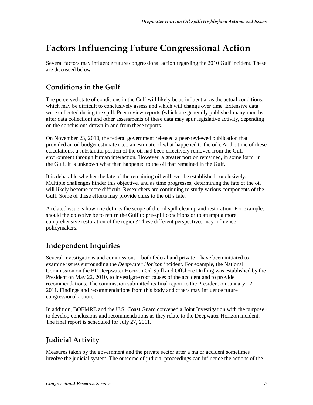## **Factors Influencing Future Congressional Action**

Several factors may influence future congressional action regarding the 2010 Gulf incident. These are discussed below.

### **Conditions in the Gulf**

The perceived state of conditions in the Gulf will likely be as influential as the actual conditions, which may be difficult to conclusively assess and which will change over time. Extensive data were collected during the spill. Peer review reports (which are generally published many months after data collection) and other assessments of these data may spur legislative activity, depending on the conclusions drawn in and from these reports.

On November 23, 2010, the federal government released a peer-reviewed publication that provided an oil budget estimate (i.e., an estimate of what happened to the oil). At the time of these calculations, a substantial portion of the oil had been effectively removed from the Gulf environment through human interaction. However, a greater portion remained, in some form, in the Gulf. It is unknown what then happened to the oil that remained in the Gulf.

It is debatable whether the fate of the remaining oil will ever be established conclusively. Multiple challenges hinder this objective, and as time progresses, determining the fate of the oil will likely become more difficult. Researchers are continuing to study various components of the Gulf. Some of these efforts may provide clues to the oil's fate.

A related issue is how one defines the scope of the oil spill cleanup and restoration. For example, should the objective be to return the Gulf to pre-spill conditions or to attempt a more comprehensive restoration of the region? These different perspectives may influence policymakers.

### **Independent Inquiries**

Several investigations and commissions—both federal and private—have been initiated to examine issues surrounding the *Deepwater Horizon* incident. For example, the National Commission on the BP Deepwater Horizon Oil Spill and Offshore Drilling was established by the President on May 22, 2010, to investigate root causes of the accident and to provide recommendations. The commission submitted its final report to the President on January 12, 2011. Findings and recommendations from this body and others may influence future congressional action.

In addition, BOEMRE and the U.S. Coast Guard convened a Joint Investigation with the purpose to develop conclusions and recommendations as they relate to the Deepwater Horizon incident. The final report is scheduled for July 27, 2011.

### **Judicial Activity**

Measures taken by the government and the private sector after a major accident sometimes involve the judicial system. The outcome of judicial proceedings can influence the actions of the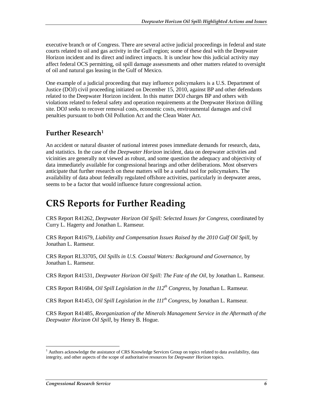executive branch or of Congress. There are several active judicial proceedings in federal and state courts related to oil and gas activity in the Gulf region; some of these deal with the Deepwater Horizon incident and its direct and indirect impacts. It is unclear how this judicial activity may affect federal OCS permitting, oil spill damage assessments and other matters related to oversight of oil and natural gas leasing in the Gulf of Mexico.

One example of a judicial proceeding that may influence policymakers is a U.S. Department of Justice (DOJ) civil proceeding initiated on December 15, 2010, against BP and other defendants related to the Deepwater Horizon incident. In this matter DOJ charges BP and others with violations related to federal safety and operation requirements at the Deepwater Horizon drilling site. DOJ seeks to recover removal costs, economic costs, environmental damages and civil penalties pursuant to both Oil Pollution Act and the Clean Water Act.

#### **Further Research1**

An accident or natural disaster of national interest poses immediate demands for research, data, and statistics. In the case of the *Deepwater Horizon* incident, data on deepwater activities and vicinities are generally not viewed as robust, and some question the adequacy and objectivity of data immediately available for congressional hearings and other deliberations. Most observers anticipate that further research on these matters will be a useful tool for policymakers. The availability of data about federally regulated offshore activities, particularly in deepwater areas, seems to be a factor that would influence future congressional action.

### **CRS Reports for Further Reading**

CRS Report R41262, *Deepwater Horizon Oil Spill: Selected Issues for Congress*, coordinated by Curry L. Hagerty and Jonathan L. Ramseur.

CRS Report R41679, *Liability and Compensation Issues Raised by the 2010 Gulf Oil Spill*, by Jonathan L. Ramseur.

CRS Report RL33705, *Oil Spills in U.S. Coastal Waters: Background and Governance*, by Jonathan L. Ramseur.

CRS Report R41531, *Deepwater Horizon Oil Spill: The Fate of the Oil*, by Jonathan L. Ramseur.

CRS Report R41684, *Oil Spill Legislation in the 112th Congress*, by Jonathan L. Ramseur.

CRS Report R41453, *Oil Spill Legislation in the 111th Congress*, by Jonathan L. Ramseur.

CRS Report R41485, *Reorganization of the Minerals Management Service in the Aftermath of the Deepwater Horizon Oil Spill*, by Henry B. Hogue.

-

<sup>&</sup>lt;sup>1</sup> Authors acknowledge the assistance of CRS Knowledge Services Group on topics related to data availability, data integrity, and other aspects of the scope of authoritative resources for *Deepwater Horizon* topics.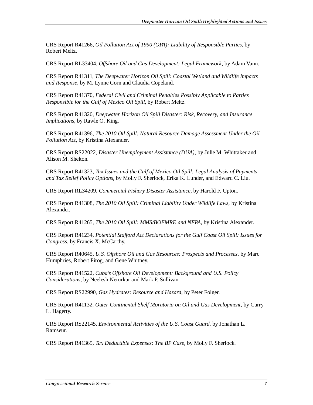CRS Report R41266, *Oil Pollution Act of 1990 (OPA): Liability of Responsible Parties*, by Robert Meltz.

CRS Report RL33404, *Offshore Oil and Gas Development: Legal Framework*, by Adam Vann.

CRS Report R41311, *The Deepwater Horizon Oil Spill: Coastal Wetland and Wildlife Impacts and Response*, by M. Lynne Corn and Claudia Copeland.

CRS Report R41370, *Federal Civil and Criminal Penalties Possibly Applicable to Parties Responsible for the Gulf of Mexico Oil Spill*, by Robert Meltz.

CRS Report R41320, *Deepwater Horizon Oil Spill Disaster: Risk, Recovery, and Insurance Implications*, by Rawle O. King.

CRS Report R41396, *The 2010 Oil Spill: Natural Resource Damage Assessment Under the Oil Pollution Act*, by Kristina Alexander.

CRS Report RS22022, *Disaster Unemployment Assistance (DUA)*, by Julie M. Whittaker and Alison M. Shelton.

CRS Report R41323, *Tax Issues and the Gulf of Mexico Oil Spill: Legal Analysis of Payments and Tax Relief Policy Options*, by Molly F. Sherlock, Erika K. Lunder, and Edward C. Liu.

CRS Report RL34209, *Commercial Fishery Disaster Assistance*, by Harold F. Upton.

CRS Report R41308, *The 2010 Oil Spill: Criminal Liability Under Wildlife Laws*, by Kristina Alexander.

CRS Report R41265, *The 2010 Oil Spill: MMS/BOEMRE and NEPA*, by Kristina Alexander.

CRS Report R41234, *Potential Stafford Act Declarations for the Gulf Coast Oil Spill: Issues for Congress*, by Francis X. McCarthy.

CRS Report R40645, *U.S. Offshore Oil and Gas Resources: Prospects and Processes*, by Marc Humphries, Robert Pirog, and Gene Whitney.

CRS Report R41522, *Cuba's Offshore Oil Development: Background and U.S. Policy Considerations*, by Neelesh Nerurkar and Mark P. Sullivan.

CRS Report RS22990, *Gas Hydrates: Resource and Hazard*, by Peter Folger.

CRS Report R41132, *Outer Continental Shelf Moratoria on Oil and Gas Development*, by Curry L. Hagerty.

CRS Report RS22145, *Environmental Activities of the U.S. Coast Guard*, by Jonathan L. Ramseur.

CRS Report R41365, *Tax Deductible Expenses: The BP Case*, by Molly F. Sherlock.